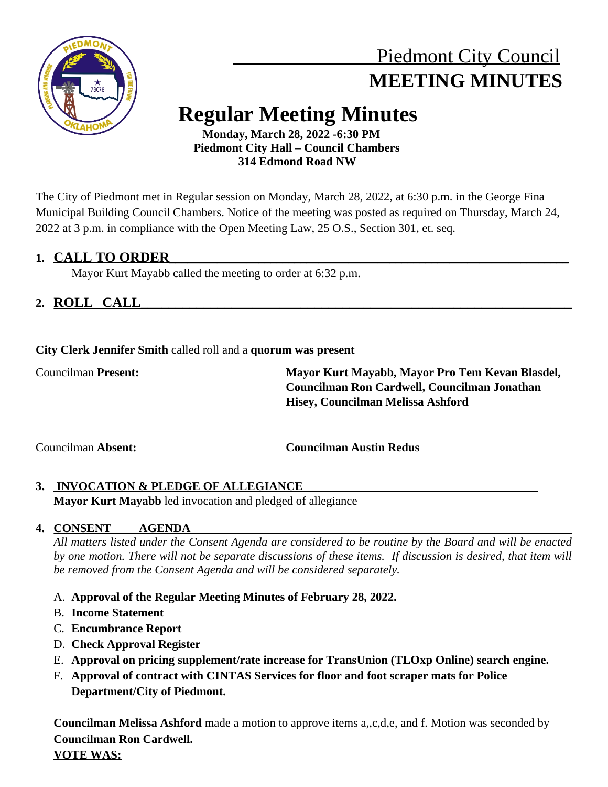

# Piedmont City Council  **MEETING MINUTES**

# **Regular Meeting Minutes**

 **Monday, March 28, 2022 -6:30 PM Piedmont City Hall – Council Chambers 314 Edmond Road NW**

The City of Piedmont met in Regular session on Monday, March 28, 2022, at 6:30 p.m. in the George Fina Municipal Building Council Chambers. Notice of the meeting was posted as required on Thursday, March 24, 2022 at 3 p.m. in compliance with the Open Meeting Law, 25 O.S., Section 301, et. seq.

# **1. CALL TO ORDER\_\_\_\_\_\_\_\_\_\_\_\_\_\_\_\_\_\_\_\_\_\_\_\_\_\_\_\_\_\_\_\_\_\_\_\_\_\_\_\_\_\_\_\_\_\_\_\_\_\_\_\_\_\_\_\_\_\_\_\_\_\_\_\_\_\_\_**

Mayor Kurt Mayabb called the meeting to order at 6:32 p.m.

# **2. ROLL CALL\_\_\_\_\_\_\_\_\_\_\_\_\_\_\_\_\_\_\_\_\_\_\_\_\_\_\_\_\_\_\_\_\_\_\_\_\_\_\_\_\_\_\_\_\_\_\_\_\_\_\_\_\_\_\_\_\_\_\_\_\_\_**

**City Clerk Jennifer Smith** called roll and a **quorum was present**

Councilman **Present: Mayor Kurt Mayabb, Mayor Pro Tem Kevan Blasdel, Councilman Ron Cardwell, Councilman Jonathan Hisey, Councilman Melissa Ashford**

Councilman **Absent: Councilman Austin Redus**

# 3. INVOCATION & PLEDGE OF ALLEGIANCE

**Mayor Kurt Mayabb** led invocation and pledged of allegiance

# **4. CONSENT AGENDA**

All matters listed under the Consent Agenda are considered to be routine by the Board and will be enacted by one motion. There will not be separate discussions of these items. If discussion is desired, that item will *be removed from the Consent Agenda and will be considered separately.*

# A. **Approval of the Regular Meeting Minutes of February 28, 2022.**

- B. **Income Statement**
- C. **Encumbrance Report**
- D. **Check Approval Register**
- E. **Approval on pricing supplement/rate increase for TransUnion (TLOxp Online) search engine.**
- F. **Approval of contract with CINTAS Services for floor and foot scraper mats for Police Department/City of Piedmont.**

**Councilman Melissa Ashford** made a motion to approve items a,,c,d,e, and f. Motion was seconded by **Councilman Ron Cardwell. VOTE WAS:**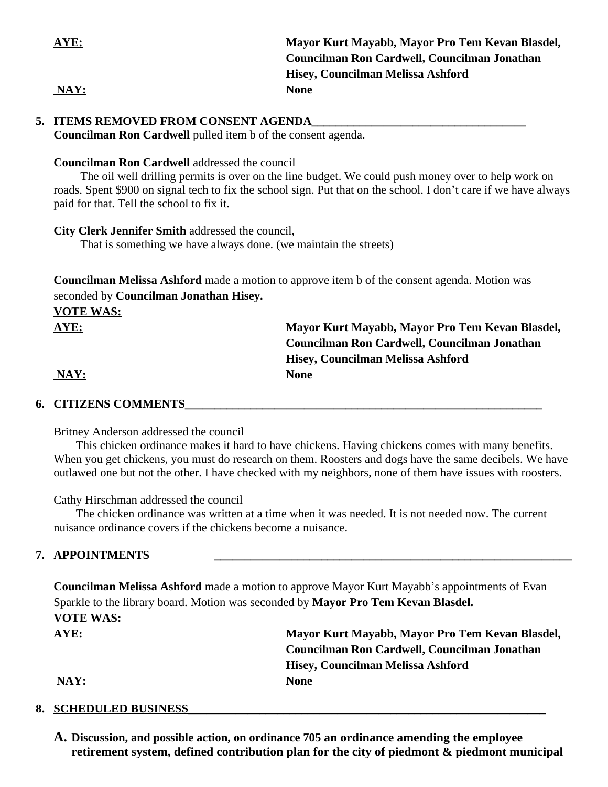| AYE: | Mayor Kurt Mayabb, Mayor Pro Tem Kevan Blasdel, |
|------|-------------------------------------------------|
|      | Councilman Ron Cardwell, Councilman Jonathan    |
|      | Hisey, Councilman Melissa Ashford               |
| NAY: | <b>None</b>                                     |

## **5. ITEMS REMOVED FROM CONSENT AGENDA**

**Councilman Ron Cardwell** pulled item b of the consent agenda.

#### **Councilman Ron Cardwell** addressed the council

The oil well drilling permits is over on the line budget. We could push money over to help work on roads. Spent \$900 on signal tech to fix the school sign. Put that on the school. I don't care if we have always paid for that. Tell the school to fix it.

#### **City Clerk Jennifer Smith** addressed the council,

That is something we have always done. (we maintain the streets)

**Councilman Melissa Ashford** made a motion to approve item b of the consent agenda. Motion was seconded by **Councilman Jonathan Hisey.** 

| <b>VOTE WAS:</b> |                                                 |
|------------------|-------------------------------------------------|
| <b>AYE:</b>      | Mayor Kurt Mayabb, Mayor Pro Tem Kevan Blasdel, |
|                  | Councilman Ron Cardwell, Councilman Jonathan    |
|                  | Hisey, Councilman Melissa Ashford               |
| NAY:             | <b>None</b>                                     |

## **6. CITIZENS COMMENTS\_\_\_\_\_\_\_\_\_\_\_\_\_\_\_\_\_\_\_\_\_\_\_\_\_\_\_\_\_\_\_\_\_\_\_\_\_\_\_\_\_\_\_\_\_\_\_\_\_\_\_\_\_\_\_\_\_\_\_\_**

Britney Anderson addressed the council

This chicken ordinance makes it hard to have chickens. Having chickens comes with many benefits. When you get chickens, you must do research on them. Roosters and dogs have the same decibels. We have outlawed one but not the other. I have checked with my neighbors, none of them have issues with roosters.

Cathy Hirschman addressed the council

The chicken ordinance was written at a time when it was needed. It is not needed now. The current nuisance ordinance covers if the chickens become a nuisance.

## **7. APPOINTMENTS \_\_\_\_\_\_\_\_\_\_\_\_\_\_\_\_\_\_\_\_\_\_\_\_\_\_\_\_\_\_\_\_\_\_\_\_\_\_\_\_\_\_\_\_\_\_\_\_\_\_\_\_\_\_\_\_\_\_\_\_**

**Councilman Melissa Ashford** made a motion to approve Mayor Kurt Mayabb's appointments of Evan Sparkle to the library board. Motion was seconded by **Mayor Pro Tem Kevan Blasdel.** 

# **VOTE WAS:**

**AYE: Mayor Kurt Mayabb, Mayor Pro Tem Kevan Blasdel, Councilman Ron Cardwell, Councilman Jonathan Hisey, Councilman Melissa Ashford**

## **NAY: None**

## 8. SCHEDULED BUSINESS

**A. Discussion, and possible action, on ordinance 705 an ordinance amending the employee retirement system, defined contribution plan for the city of piedmont & piedmont municipal**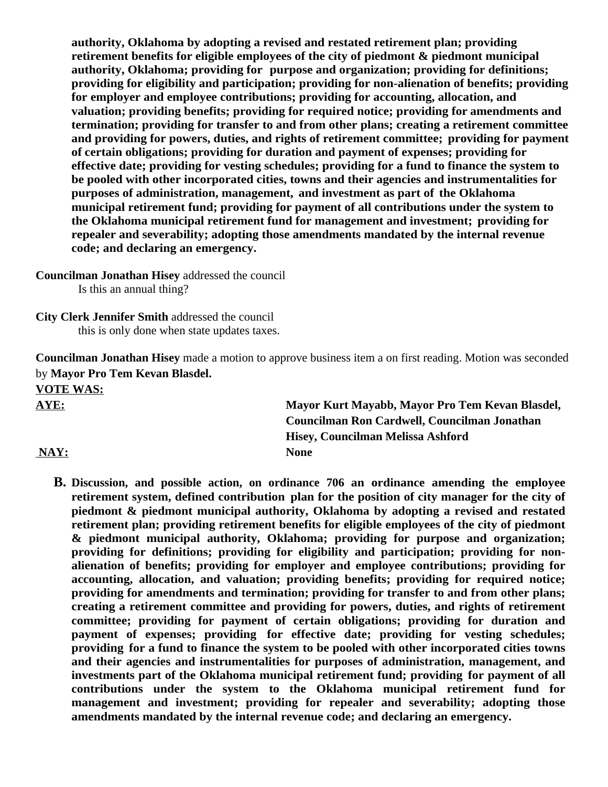**authority, Oklahoma by adopting a revised and restated retirement plan; providing retirement benefits for eligible employees of the city of piedmont & piedmont municipal authority, Oklahoma; providing for purpose and organization; providing for definitions; providing for eligibility and participation; providing for non-alienation of benefits; providing for employer and employee contributions; providing for accounting, allocation, and valuation; providing benefits; providing for required notice; providing for amendments and termination; providing for transfer to and from other plans; creating a retirement committee and providing for powers, duties, and rights of retirement committee; providing for payment of certain obligations; providing for duration and payment of expenses; providing for effective date; providing for vesting schedules; providing for a fund to finance the system to be pooled with other incorporated cities, towns and their agencies and instrumentalities for purposes of administration, management, and investment as part of the Oklahoma municipal retirement fund; providing for payment of all contributions under the system to the Oklahoma municipal retirement fund for management and investment; providing for repealer and severability; adopting those amendments mandated by the internal revenue code; and declaring an emergency.**

**Councilman Jonathan Hisey** addressed the council

Is this an annual thing?

**City Clerk Jennifer Smith** addressed the council this is only done when state updates taxes.

**Councilman Jonathan Hisey** made a motion to approve business item a on first reading. Motion was seconded by **Mayor Pro Tem Kevan Blasdel.** 

**VOTE WAS:**

**AYE: Mayor Kurt Mayabb, Mayor Pro Tem Kevan Blasdel, Councilman Ron Cardwell, Councilman Jonathan Hisey, Councilman Melissa Ashford NAY: None**

**B. Discussion, and possible action, on ordinance 706 an ordinance amending the employee retirement system, defined contribution plan for the position of city manager for the city of piedmont & piedmont municipal authority, Oklahoma by adopting a revised and restated retirement plan; providing retirement benefits for eligible employees of the city of piedmont & piedmont municipal authority, Oklahoma; providing for purpose and organization; providing for definitions; providing for eligibility and participation; providing for nonalienation of benefits; providing for employer and employee contributions; providing for accounting, allocation, and valuation; providing benefits; providing for required notice; providing for amendments and termination; providing for transfer to and from other plans; creating a retirement committee and providing for powers, duties, and rights of retirement committee; providing for payment of certain obligations; providing for duration and payment of expenses; providing for effective date; providing for vesting schedules; providing for a fund to finance the system to be pooled with other incorporated cities towns and their agencies and instrumentalities for purposes of administration, management, and investments part of the Oklahoma municipal retirement fund; providing for payment of all contributions under the system to the Oklahoma municipal retirement fund for management and investment; providing for repealer and severability; adopting those amendments mandated by the internal revenue code; and declaring an emergency.**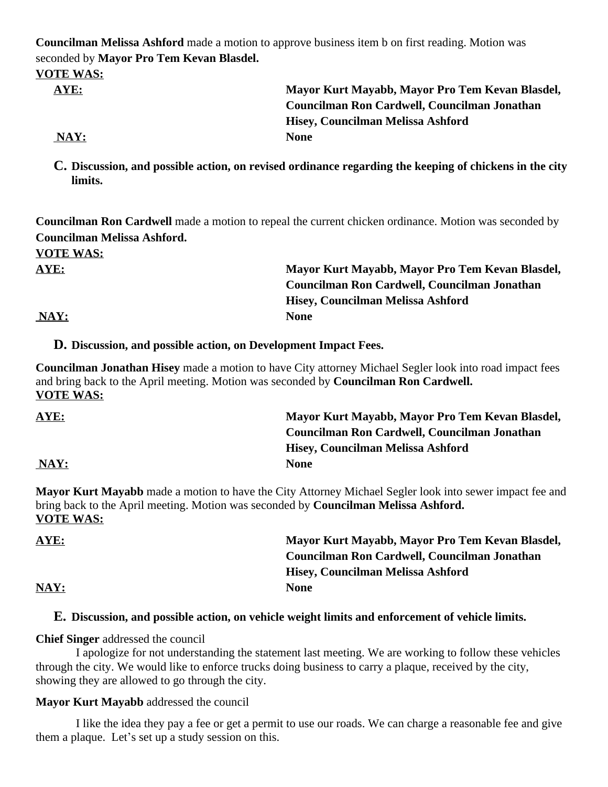**Councilman Melissa Ashford** made a motion to approve business item b on first reading. Motion was seconded by **Mayor Pro Tem Kevan Blasdel.**

#### **VOTE WAS:**

| Mayor Kurt Mayabb, Mayor Pro Tem Kevan Blasdel, |
|-------------------------------------------------|
| Councilman Ron Cardwell, Councilman Jonathan    |
| Hisey, Councilman Melissa Ashford               |
| <b>None</b>                                     |
|                                                 |

**C. Discussion, and possible action, on revised ordinance regarding the keeping of chickens in the city limits.** 

**Councilman Ron Cardwell** made a motion to repeal the current chicken ordinance. Motion was seconded by **Councilman Melissa Ashford.** 

**VOTE WAS:**

**AYE: Mayor Kurt Mayabb, Mayor Pro Tem Kevan Blasdel, Councilman Ron Cardwell, Councilman Jonathan Hisey, Councilman Melissa Ashford**

 **NAY: None**

**D. Discussion, and possible action, on Development Impact Fees.**

**Councilman Jonathan Hisey** made a motion to have City attorney Michael Segler look into road impact fees and bring back to the April meeting. Motion was seconded by **Councilman Ron Cardwell. VOTE WAS:**

| AYE: | Mayor Kurt Mayabb, Mayor Pro Tem Kevan Blasdel, |
|------|-------------------------------------------------|
|      | Councilman Ron Cardwell, Councilman Jonathan    |
|      | Hisey, Councilman Melissa Ashford               |
| NAY: | <b>None</b>                                     |

**Mayor Kurt Mayabb** made a motion to have the City Attorney Michael Segler look into sewer impact fee and bring back to the April meeting. Motion was seconded by **Councilman Melissa Ashford. VOTE WAS:**

| <b>AYE:</b> | Mayor Kurt Mayabb, Mayor Pro Tem Kevan Blasdel, |
|-------------|-------------------------------------------------|
|             | Councilman Ron Cardwell, Councilman Jonathan    |
|             | Hisey, Councilman Melissa Ashford               |
| NAY:        | <b>None</b>                                     |

## **E. Discussion, and possible action, on vehicle weight limits and enforcement of vehicle limits.**

**Chief Singer** addressed the council

I apologize for not understanding the statement last meeting. We are working to follow these vehicles through the city. We would like to enforce trucks doing business to carry a plaque, received by the city, showing they are allowed to go through the city.

## **Mayor Kurt Mayabb** addressed the council

I like the idea they pay a fee or get a permit to use our roads. We can charge a reasonable fee and give them a plaque. Let's set up a study session on this.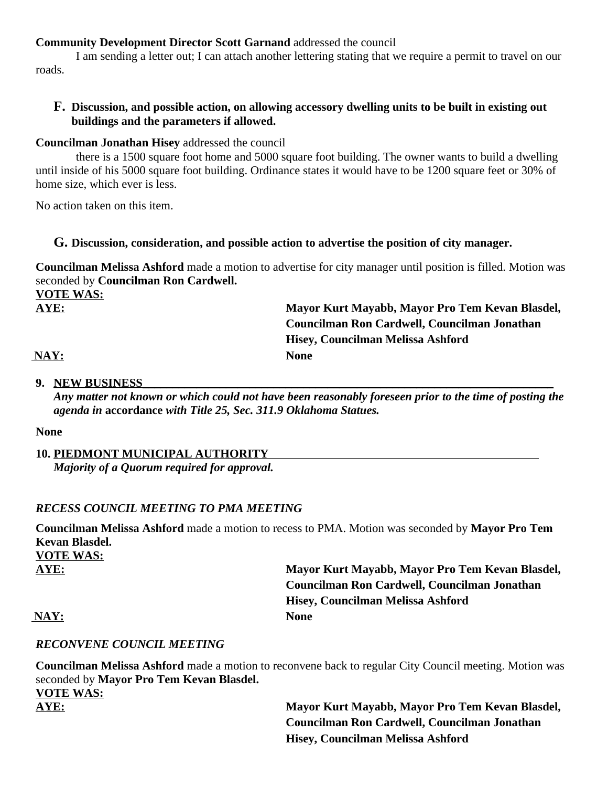## **Community Development Director Scott Garnand** addressed the council

I am sending a letter out; I can attach another lettering stating that we require a permit to travel on our roads.

## **F. Discussion, and possible action, on allowing accessory dwelling units to be built in existing out buildings and the parameters if allowed.**

### **Councilman Jonathan Hisey** addressed the council

there is a 1500 square foot home and 5000 square foot building. The owner wants to build a dwelling until inside of his 5000 square foot building. Ordinance states it would have to be 1200 square feet or 30% of home size, which ever is less.

No action taken on this item.

### **G. Discussion, consideration, and possible action to advertise the position of city manager.**

**Councilman Melissa Ashford** made a motion to advertise for city manager until position is filled. Motion was seconded by **Councilman Ron Cardwell. VOTE WAS:**

**AYE: Mayor Kurt Mayabb, Mayor Pro Tem Kevan Blasdel, Councilman Ron Cardwell, Councilman Jonathan Hisey, Councilman Melissa Ashford**

 **NAY: None**

## **9. NEW BUSINESS\_\_\_\_\_\_\_\_\_\_\_\_\_\_\_\_\_\_\_\_\_\_\_\_\_\_\_\_\_\_\_\_\_\_\_\_\_\_\_\_\_\_\_\_\_\_\_\_\_\_\_\_\_\_\_\_\_\_\_\_\_\_\_\_\_\_\_\_\_**

*Any matter not known or which could not have been reasonably foreseen prior to the time of posting the agenda in* **accordance** *with Title 25, Sec. 311.9 Oklahoma Statues.*

#### **None**

### **10. PIEDMONT MUNICIPAL AUTHORITY**  *Majority of a Quorum required for approval.*

## *RECESS COUNCIL MEETING TO PMA MEETING*

**Councilman Melissa Ashford** made a motion to recess to PMA. Motion was seconded by **Mayor Pro Tem Kevan Blasdel. VOTE WAS:**

**AYE: Mayor Kurt Mayabb, Mayor Pro Tem Kevan Blasdel, Councilman Ron Cardwell, Councilman Jonathan Hisey, Councilman Melissa Ashford**

 **NAY: None**

## *RECONVENE COUNCIL MEETING*

**Councilman Melissa Ashford** made a motion to reconvene back to regular City Council meeting. Motion was seconded by **Mayor Pro Tem Kevan Blasdel. VOTE WAS: AYE: Mayor Kurt Mayabb, Mayor Pro Tem Kevan Blasdel, Councilman Ron Cardwell, Councilman Jonathan** 

**Hisey, Councilman Melissa Ashford**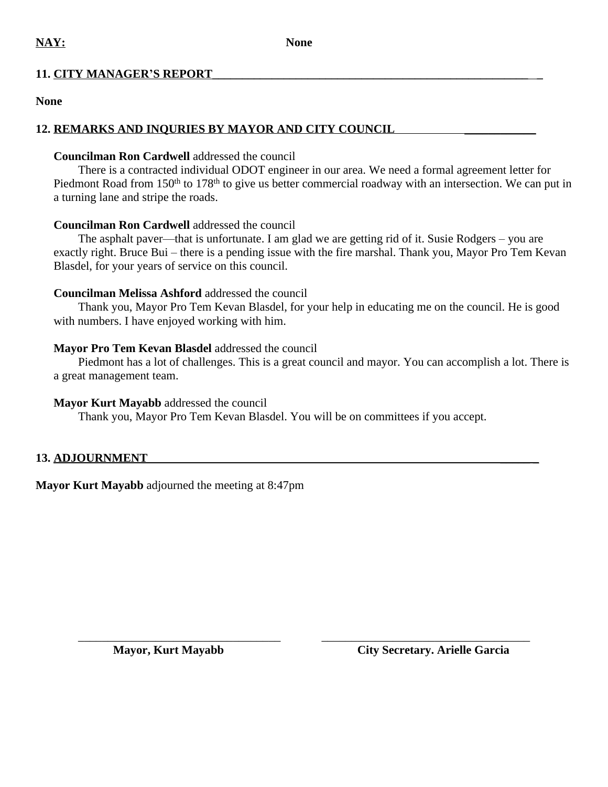## **11. CITY MANAGER'S REPORT\_\_\_\_\_\_\_\_\_\_\_\_\_\_\_\_\_\_\_\_\_\_\_\_\_\_\_\_\_\_\_\_\_\_\_\_\_\_\_\_\_\_\_\_\_\_\_\_\_\_\_\_\_ \_**

### **None**

## 12. **REMARKS AND INQURIES BY MAYOR AND CITY COUNCIL**

## **Councilman Ron Cardwell** addressed the council

There is a contracted individual ODOT engineer in our area. We need a formal agreement letter for Piedmont Road from 150<sup>th</sup> to 178<sup>th</sup> to give us better commercial roadway with an intersection. We can put in a turning lane and stripe the roads.

## **Councilman Ron Cardwell** addressed the council

The asphalt paver—that is unfortunate. I am glad we are getting rid of it. Susie Rodgers – you are exactly right. Bruce Bui – there is a pending issue with the fire marshal. Thank you, Mayor Pro Tem Kevan Blasdel, for your years of service on this council.

## **Councilman Melissa Ashford** addressed the council

Thank you, Mayor Pro Tem Kevan Blasdel, for your help in educating me on the council. He is good with numbers. I have enjoyed working with him.

## **Mayor Pro Tem Kevan Blasdel** addressed the council

Piedmont has a lot of challenges. This is a great council and mayor. You can accomplish a lot. There is a great management team.

## **Mayor Kurt Mayabb** addressed the council

Thank you, Mayor Pro Tem Kevan Blasdel. You will be on committees if you accept.

## **13. ADJOURNMENT \_\_\_\_\_ \_**

**Mayor Kurt Mayabb** adjourned the meeting at 8:47pm

\_\_\_\_\_\_\_\_\_\_\_\_\_\_\_\_\_\_\_\_\_\_\_\_\_\_\_\_\_\_\_\_\_\_ \_\_\_\_\_\_\_\_\_\_\_\_\_\_\_\_\_\_\_\_\_\_\_\_\_\_\_\_\_\_\_\_\_\_\_

**Mayor, Kurt Mayabb City Secretary. Arielle Garcia**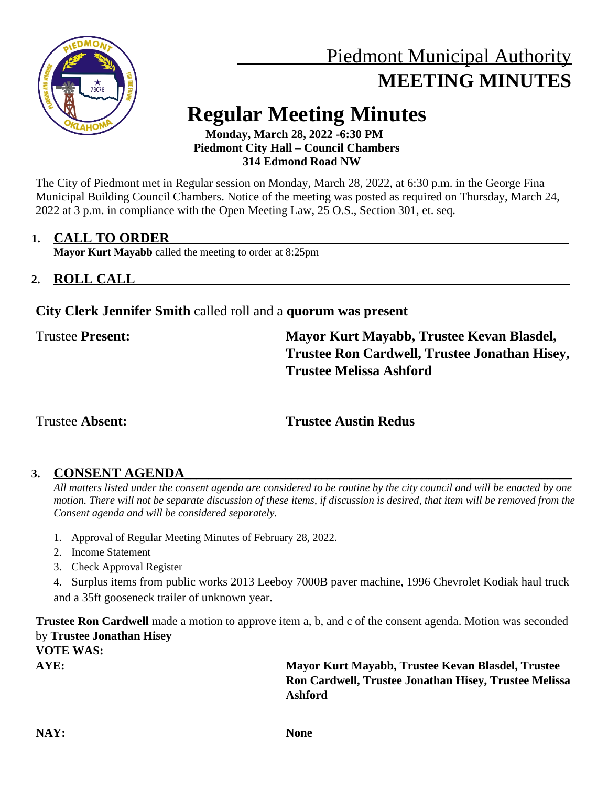

# Piedmont Municipal Authority **MEETING MINUTES**

# **Regular Meeting Minutes**

 **Monday, March 28, 2022 -6:30 PM Piedmont City Hall – Council Chambers 314 Edmond Road NW**

The City of Piedmont met in Regular session on Monday, March 28, 2022, at 6:30 p.m. in the George Fina Municipal Building Council Chambers. Notice of the meeting was posted as required on Thursday, March 24, 2022 at 3 p.m. in compliance with the Open Meeting Law, 25 O.S., Section 301, et. seq.

## 1. **CALL TO ORDER**

**Mayor Kurt Mayabb** called the meeting to order at 8:25pm

# **2. ROLL CALL\_\_\_\_\_\_\_\_\_\_\_\_\_\_\_\_\_\_\_\_\_\_\_\_\_\_\_\_\_\_\_\_\_\_\_\_\_\_\_\_\_\_\_\_\_\_\_\_\_\_\_\_\_\_\_\_\_\_\_\_\_\_\_\_\_\_\_\_\_\_\_\_\_**

## **City Clerk Jennifer Smith** called roll and a **quorum was present**

Trustee **Present: Mayor Kurt Mayabb, Trustee Kevan Blasdel, Trustee Ron Cardwell, Trustee Jonathan Hisey, Trustee Melissa Ashford**

# Trustee **Absent: Trustee Austin Redus**

# 3. **CONSENT AGENDA**

*All matters listed under the consent agenda are considered to be routine by the city council and will be enacted by one motion. There will not be separate discussion of these items, if discussion is desired, that item will be removed from the Consent agenda and will be considered separately.*

- 1. Approval of Regular Meeting Minutes of February 28, 2022.
- 2. Income Statement
- 3. Check Approval Register
- 4. Surplus items from public works 2013 Leeboy 7000B paver machine, 1996 Chevrolet Kodiak haul truck and a 35ft gooseneck trailer of unknown year.

**Trustee Ron Cardwell** made a motion to approve item a, b, and c of the consent agenda. Motion was seconded by **Trustee Jonathan Hisey**

**VOTE WAS:**

**AYE: Mayor Kurt Mayabb, Trustee Kevan Blasdel, Trustee Ron Cardwell, Trustee Jonathan Hisey, Trustee Melissa Ashford**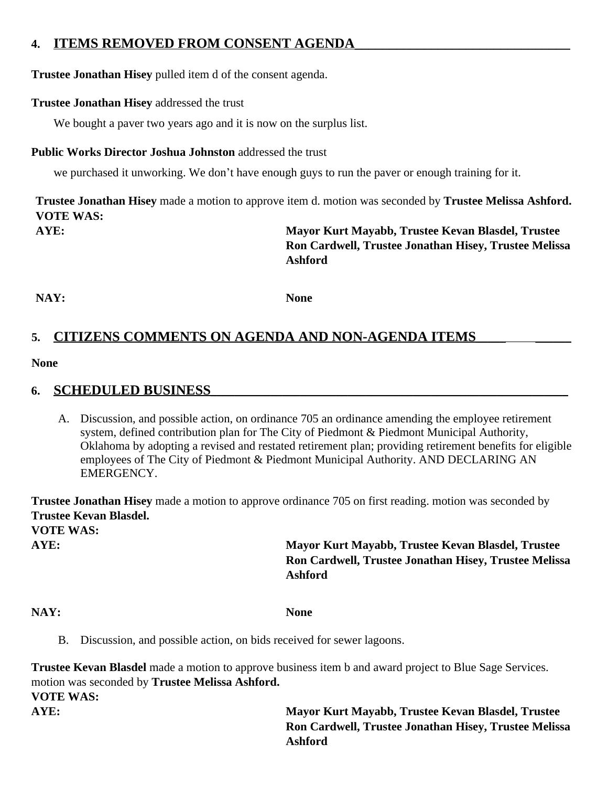## **4. ITEMS REMOVED FROM CONSENT AGENDA**

**Trustee Jonathan Hisey** pulled item d of the consent agenda.

## **Trustee Jonathan Hisey** addressed the trust

We bought a paver two years ago and it is now on the surplus list.

## **Public Works Director Joshua Johnston** addressed the trust

we purchased it unworking. We don't have enough guys to run the paver or enough training for it.

**Trustee Jonathan Hisey** made a motion to approve item d. motion was seconded by **Trustee Melissa Ashford. VOTE WAS:**

**AYE: Mayor Kurt Mayabb, Trustee Kevan Blasdel, Trustee Ron Cardwell, Trustee Jonathan Hisey, Trustee Melissa Ashford**

**NAY: None**

# 5. CITIZENS COMMENTS ON AGENDA AND NON-AGENDA ITEMS

### **None**

## **6. SCHEDULED BUSINESS\_\_\_\_\_\_\_\_\_\_\_\_\_\_\_\_\_\_\_\_\_\_\_\_\_\_\_\_\_\_\_\_\_\_\_\_\_\_\_\_\_\_\_\_\_\_\_\_\_\_\_\_\_\_\_\_\_\_\_\_**

A. Discussion, and possible action, on ordinance 705 an ordinance amending the employee retirement system, defined contribution plan for The City of Piedmont & Piedmont Municipal Authority, Oklahoma by adopting a revised and restated retirement plan; providing retirement benefits for eligible employees of The City of Piedmont & Piedmont Municipal Authority. AND DECLARING AN EMERGENCY.

**Trustee Jonathan Hisey** made a motion to approve ordinance 705 on first reading. motion was seconded by **Trustee Kevan Blasdel. VOTE WAS:**

**AYE: Mayor Kurt Mayabb, Trustee Kevan Blasdel, Trustee Ron Cardwell, Trustee Jonathan Hisey, Trustee Melissa Ashford**

**NAY: None**

B. Discussion, and possible action, on bids received for sewer lagoons.

**Trustee Kevan Blasdel** made a motion to approve business item b and award project to Blue Sage Services. motion was seconded by **Trustee Melissa Ashford.**

**VOTE WAS:**

**AYE: Mayor Kurt Mayabb, Trustee Kevan Blasdel, Trustee Ron Cardwell, Trustee Jonathan Hisey, Trustee Melissa Ashford**